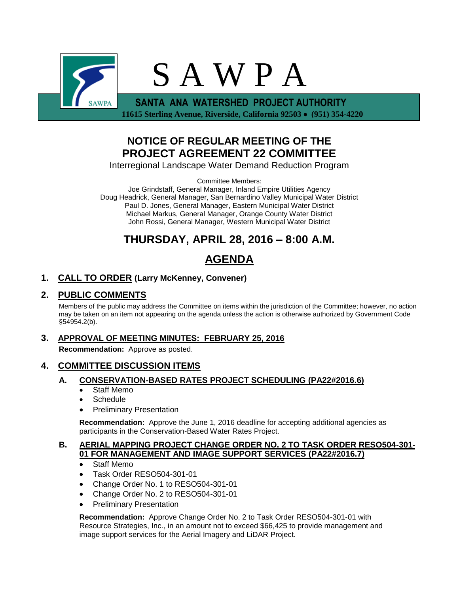

 **11615 Sterling Avenue, Riverside, California 92503 (951) 354-4220**

# **NOTICE OF REGULAR MEETING OF THE PROJECT AGREEMENT 22 COMMITTEE**

Interregional Landscape Water Demand Reduction Program

Committee Members:

Joe Grindstaff, General Manager, Inland Empire Utilities Agency Doug Headrick, General Manager, San Bernardino Valley Municipal Water District Paul D. Jones, General Manager, Eastern Municipal Water District Michael Markus, General Manager, Orange County Water District John Rossi, General Manager, Western Municipal Water District

# **THURSDAY, APRIL 28, 2016 – 8:00 A.M.**

# **AGENDA**

# **1. CALL TO ORDER (Larry McKenney, Convener)**

# **2. PUBLIC COMMENTS**

Members of the public may address the Committee on items within the jurisdiction of the Committee; however, no action may be taken on an item not appearing on the agenda unless the action is otherwise authorized by Government Code §54954.2(b).

# **3. APPROVAL OF MEETING MINUTES: FEBRUARY 25, 2016**

**Recommendation:** Approve as posted.

## **4. COMMITTEE DISCUSSION ITEMS**

## **A. CONSERVATION-BASED RATES PROJECT SCHEDULING (PA22#2016.6)**

- Staff Memo
- Schedule
- Preliminary Presentation

**Recommendation:** Approve the June 1, 2016 deadline for accepting additional agencies as participants in the Conservation-Based Water Rates Project.

#### **B. AERIAL MAPPING PROJECT CHANGE ORDER NO. 2 TO TASK ORDER RESO504-301- 01 FOR MANAGEMENT AND IMAGE SUPPORT SERVICES (PA22#2016.7)**

- Staff Memo
- Task Order RESO504-301-01
- Change Order No. 1 to RESO504-301-01
- Change Order No. 2 to RESO504-301-01
- Preliminary Presentation

**Recommendation:** Approve Change Order No. 2 to Task Order RESO504-301-01 with Resource Strategies, Inc., in an amount not to exceed \$66,425 to provide management and image support services for the Aerial Imagery and LiDAR Project.